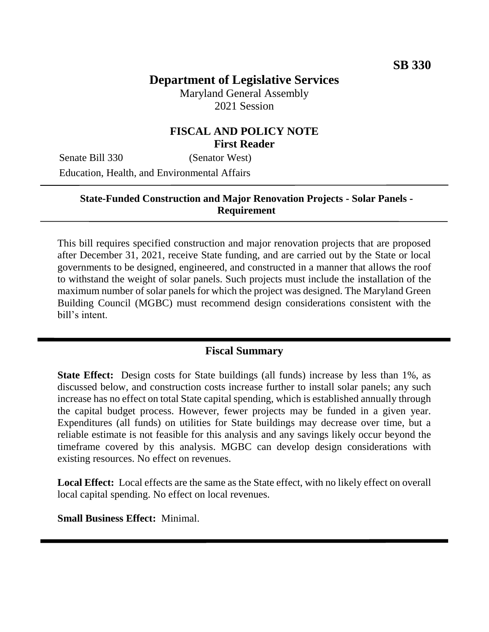# **Department of Legislative Services**

Maryland General Assembly 2021 Session

#### **FISCAL AND POLICY NOTE First Reader**

Senate Bill 330 (Senator West) Education, Health, and Environmental Affairs

#### **State-Funded Construction and Major Renovation Projects - Solar Panels - Requirement**

This bill requires specified construction and major renovation projects that are proposed after December 31, 2021, receive State funding, and are carried out by the State or local governments to be designed, engineered, and constructed in a manner that allows the roof to withstand the weight of solar panels. Such projects must include the installation of the maximum number of solar panels for which the project was designed. The Maryland Green Building Council (MGBC) must recommend design considerations consistent with the bill's intent.

#### **Fiscal Summary**

**State Effect:** Design costs for State buildings (all funds) increase by less than 1%, as discussed below, and construction costs increase further to install solar panels; any such increase has no effect on total State capital spending, which is established annually through the capital budget process. However, fewer projects may be funded in a given year. Expenditures (all funds) on utilities for State buildings may decrease over time, but a reliable estimate is not feasible for this analysis and any savings likely occur beyond the timeframe covered by this analysis. MGBC can develop design considerations with existing resources. No effect on revenues.

**Local Effect:** Local effects are the same as the State effect, with no likely effect on overall local capital spending. No effect on local revenues.

**Small Business Effect:** Minimal.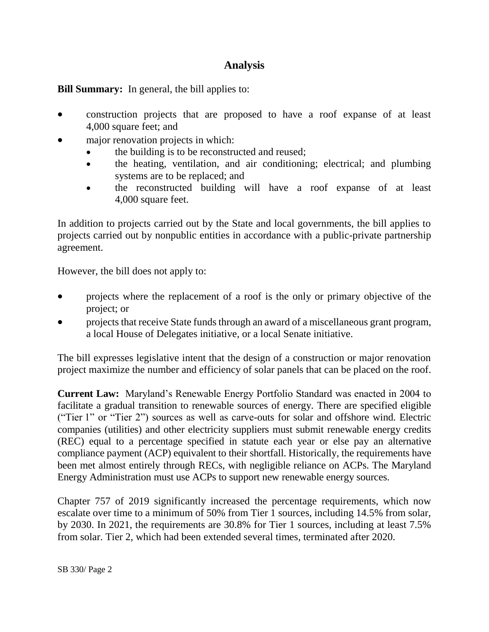## **Analysis**

**Bill Summary:** In general, the bill applies to:

- construction projects that are proposed to have a roof expanse of at least 4,000 square feet; and
- major renovation projects in which:
	- the building is to be reconstructed and reused;
	- the heating, ventilation, and air conditioning; electrical; and plumbing systems are to be replaced; and
	- the reconstructed building will have a roof expanse of at least 4,000 square feet.

In addition to projects carried out by the State and local governments, the bill applies to projects carried out by nonpublic entities in accordance with a public-private partnership agreement.

However, the bill does not apply to:

- projects where the replacement of a roof is the only or primary objective of the project; or
- projects that receive State funds through an award of a miscellaneous grant program, a local House of Delegates initiative, or a local Senate initiative.

The bill expresses legislative intent that the design of a construction or major renovation project maximize the number and efficiency of solar panels that can be placed on the roof.

**Current Law:** Maryland's Renewable Energy Portfolio Standard was enacted in 2004 to facilitate a gradual transition to renewable sources of energy. There are specified eligible ("Tier 1" or "Tier 2") sources as well as carve-outs for solar and offshore wind. Electric companies (utilities) and other electricity suppliers must submit renewable energy credits (REC) equal to a percentage specified in statute each year or else pay an alternative compliance payment (ACP) equivalent to their shortfall. Historically, the requirements have been met almost entirely through RECs, with negligible reliance on ACPs. The Maryland Energy Administration must use ACPs to support new renewable energy sources.

Chapter 757 of 2019 significantly increased the percentage requirements, which now escalate over time to a minimum of 50% from Tier 1 sources, including 14.5% from solar, by 2030. In 2021, the requirements are 30.8% for Tier 1 sources, including at least 7.5% from solar. Tier 2, which had been extended several times, terminated after 2020.